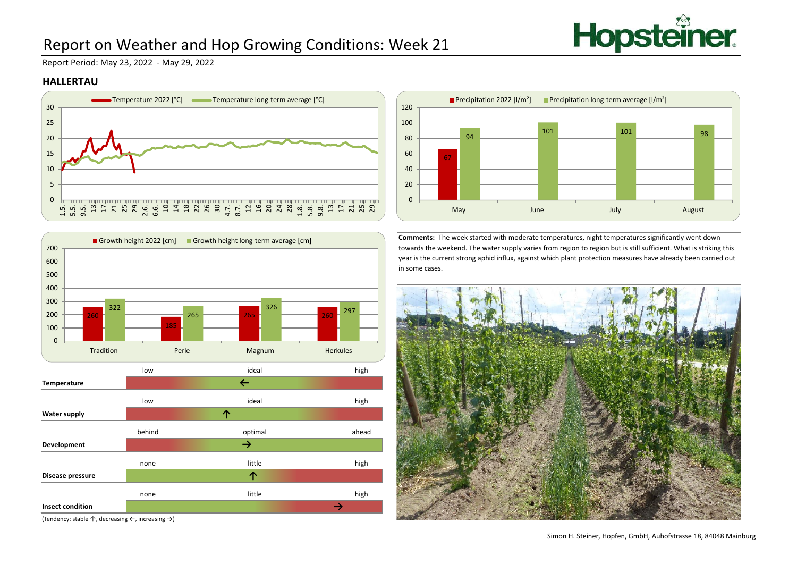

# Report on Weather and Hop Growing Conditions: Week 21

Report Period: May 23, 2022 - May 29, 2022

### **HALLERTAU**





(Tendency: stable ↑, decreasing ←, increasing →)



**Comments:** The week started with moderate temperatures, night temperatures significantly went down towards the weekend. The water supply varies from region to region but is still sufficient. What is striking this year is the current strong aphid influx, against which plant protection measures have already been carried out in some cases.

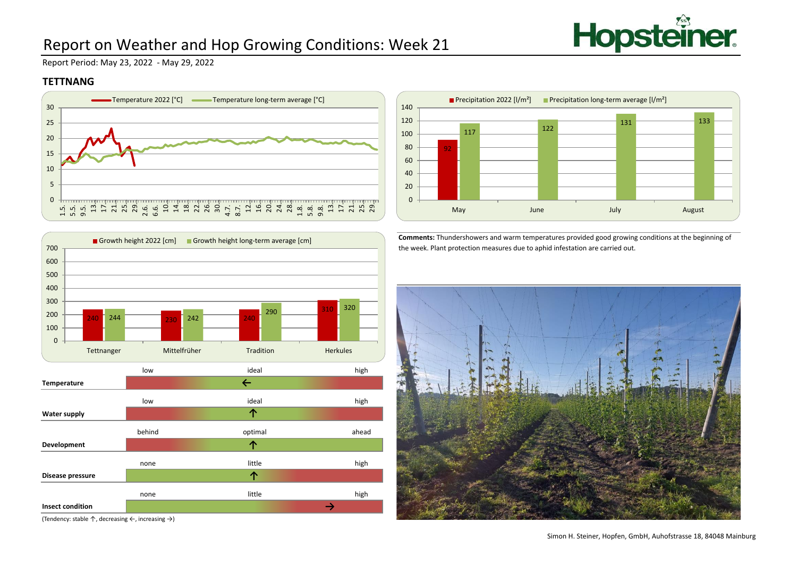

# Report on Weather and Hop Growing Conditions: Week 21

Report Period: May 23, 2022 - May 29, 2022

### **TETTNANG**





low high ideal by the basic of the basic of the basic of the basic of the basic of the basic of the basic of t **Temperature** low high ideal by the state of  $\sim$ **Water supply** behind ahead ahead optimal ahead ahead **Development** none high **Disease pressure** ideal ideal optimal little **↑ ↑ ↑ ↑**240 244 230 242 240 310  $244$   $230$   $242$ 290 31<mark>0</mark> 320  $\Omega$ 100 200 300 400 500 600 700 Tettnanger Mittelfrüher Tradition Herkules Growth height 2022 [cm] Growth height long-term average [cm]

none high

little

**↑**

**Comments:** Thundershowers and warm temperatures provided good growing conditions at the beginning of the week. Plant protection measures due to aphid infestation are carried out.



(Tendency: stable ↑, decreasing ←, increasing →)

**Insect condition**